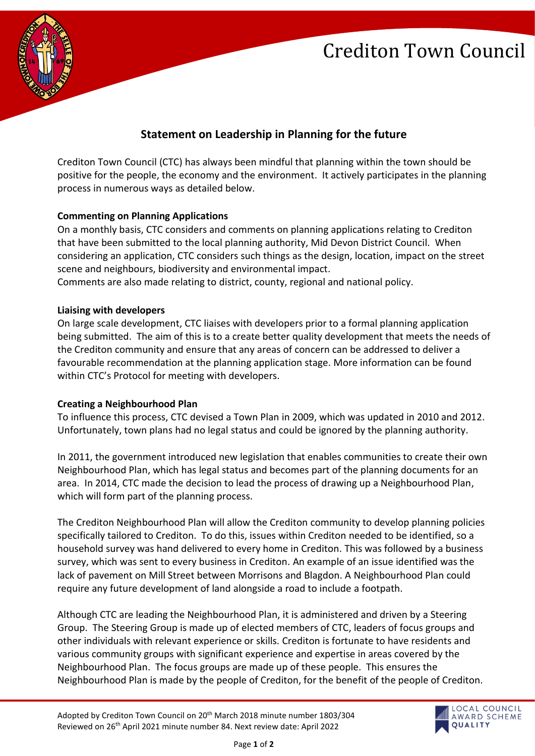# Crediton Town Council



### **Statement on Leadership in Planning for the future**

Crediton Town Council (CTC) has always been mindful that planning within the town should be positive for the people, the economy and the environment. It actively participates in the planning process in numerous ways as detailed below.

#### **Commenting on Planning Applications**

On a monthly basis, CTC considers and comments on planning applications relating to Crediton that have been submitted to the local planning authority, Mid Devon District Council. When considering an application, CTC considers such things as the design, location, impact on the street scene and neighbours, biodiversity and environmental impact. Comments are also made relating to district, county, regional and national policy.

#### **Liaising with developers**

On large scale development, CTC liaises with developers prior to a formal planning application being submitted. The aim of this is to a create better quality development that meets the needs of the Crediton community and ensure that any areas of concern can be addressed to deliver a favourable recommendation at the planning application stage. More information can be found within CTC's Protocol for meeting with developers.

#### **Creating a Neighbourhood Plan**

To influence this process, CTC devised a Town Plan in 2009, which was updated in 2010 and 2012. Unfortunately, town plans had no legal status and could be ignored by the planning authority.

In 2011, the government introduced new legislation that enables communities to create their own Neighbourhood Plan, which has legal status and becomes part of the planning documents for an area. In 2014, CTC made the decision to lead the process of drawing up a Neighbourhood Plan, which will form part of the planning process.

The Crediton Neighbourhood Plan will allow the Crediton community to develop planning policies specifically tailored to Crediton. To do this, issues within Crediton needed to be identified, so a household survey was hand delivered to every home in Crediton. This was followed by a business survey, which was sent to every business in Crediton. An example of an issue identified was the lack of pavement on Mill Street between Morrisons and Blagdon. A Neighbourhood Plan could require any future development of land alongside a road to include a footpath.

Although CTC are leading the Neighbourhood Plan, it is administered and driven by a Steering Group. The Steering Group is made up of elected members of CTC, leaders of focus groups and other individuals with relevant experience or skills. Crediton is fortunate to have residents and various community groups with significant experience and expertise in areas covered by the Neighbourhood Plan. The focus groups are made up of these people. This ensures the Neighbourhood Plan is made by the people of Crediton, for the benefit of the people of Crediton.

Page **1** of **2**